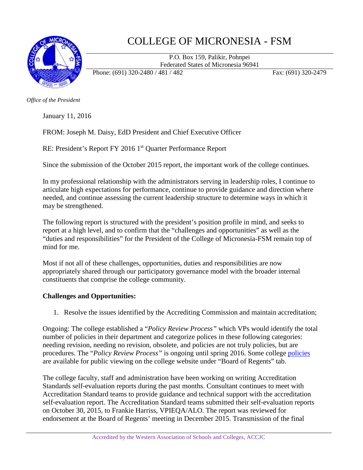

## COLLEGE OF MICRONESIA - FSM

P.O. Box 159, Palikir, Pohnpei Federated States of Micronesia 96941

Phone: (691) 320-2480 / 481 / 482 Fax: (691) 320-2479

*Office of the President*

January 11, 2016

FROM: Joseph M. Daisy, EdD President and Chief Executive Officer

RE: President's Report FY 2016 1<sup>st</sup> Quarter Performance Report

Since the submission of the October 2015 report, the important work of the college continues.

In my professional relationship with the administrators serving in leadership roles, I continue to articulate high expectations for performance, continue to provide guidance and direction where needed, and continue assessing the current leadership structure to determine ways in which it may be strengthened.

The following report is structured with the president's position profile in mind, and seeks to report at a high level, and to confirm that the "challenges and opportunities" as well as the "duties and responsibilities" for the President of the College of Micronesia-FSM remain top of mind for me.

Most if not all of these challenges, opportunities, duties and responsibilities are now appropriately shared through our participatory governance model with the broader internal constituents that comprise the college community.

## **Challenges and Opportunities:**

1. Resolve the issues identified by the Accrediting Commission and maintain accreditation;

Ongoing: The college established a "*Policy Review Process"* which VPs would identify the total number of policies in their department and categorize polices in these following categories: needing revision, needing no revision, obsolete, and policies are not truly policies, but are procedures. The "*Policy Review Process"* is ongoing until spring 2016. Some college [policies](http://www.comfsm.fm/?q=board-policies) are available for public viewing on the college website under "Board of Regents" tab.

The college faculty, staff and administration have been working on writing Accreditation Standards self-evaluation reports during the past months. Consultant continues to meet with Accreditation Standard teams to provide guidance and technical support with the accreditation self-evaluation report. The Accreditation Standard teams submitted their self-evaluation reports on October 30, 2015, to Frankie Harriss, VPIEQA/ALO. The report was reviewed for endorsement at the Board of Regents' meeting in December 2015. Transmission of the final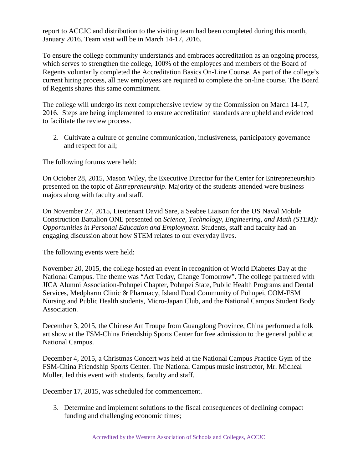report to ACCJC and distribution to the visiting team had been completed during this month, January 2016. Team visit will be in March 14-17, 2016.

To ensure the college community understands and embraces accreditation as an ongoing process, which serves to strengthen the college, 100% of the employees and members of the Board of Regents voluntarily completed the Accreditation Basics On-Line Course. As part of the college's current hiring process, all new employees are required to complete the on-line course. The Board of Regents shares this same commitment.

The college will undergo its next comprehensive review by the Commission on March 14-17, 2016. Steps are being implemented to ensure accreditation standards are upheld and evidenced to facilitate the review process.

2. Cultivate a culture of genuine communication, inclusiveness, participatory governance and respect for all;

The following forums were held:

On October 28, 2015, Mason Wiley, the Executive Director for the Center for Entrepreneurship presented on the topic of *Entrepreneurship*. Majority of the students attended were business majors along with faculty and staff.

On November 27, 2015, Lieutenant David Sare, a Seabee Liaison for the US Naval Mobile Construction Battalion ONE presented on *Science, Technology, Engineering, and Math (STEM): Opportunities in Personal Education and Employment*. Students, staff and faculty had an engaging discussion about how STEM relates to our everyday lives.

The following events were held:

November 20, 2015, the college hosted an event in recognition of World Diabetes Day at the National Campus. The theme was "Act Today, Change Tomorrow". The college partnered with JICA Alumni Association-Pohnpei Chapter, Pohnpei State, Public Health Programs and Dental Services, Medpharm Clinic & Pharmacy, Island Food Community of Pohnpei, COM-FSM Nursing and Public Health students, Micro-Japan Club, and the National Campus Student Body Association.

December 3, 2015, the Chinese Art Troupe from Guangdong Province, China performed a folk art show at the FSM-China Friendship Sports Center for free admission to the general public at National Campus.

December 4, 2015, a Christmas Concert was held at the National Campus Practice Gym of the FSM-China Friendship Sports Center. The National Campus music instructor, Mr. Micheal Muller, led this event with students, faculty and staff.

December 17, 2015, was scheduled for commencement.

3. Determine and implement solutions to the fiscal consequences of declining compact funding and challenging economic times;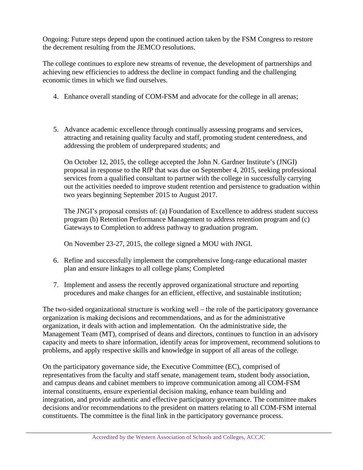Ongoing: Future steps depend upon the continued action taken by the FSM Congress to restore the decrement resulting from the JEMCO resolutions.

The college continues to explore new streams of revenue, the development of partnerships and achieving new efficiencies to address the decline in compact funding and the challenging economic times in which we find ourselves.

- 4. Enhance overall standing of COM-FSM and advocate for the college in all arenas;
- 5. Advance academic excellence through continually assessing programs and services, attracting and retaining quality faculty and staff, promoting student centeredness, and addressing the problem of underprepared students; and

On October 12, 2015, the college accepted the John N. Gardner Institute's (JNGI) proposal in response to the RfP that was due on September 4, 2015, seeking professional services from a qualified consultant to partner with the college in successfully carrying out the activities needed to improve student retention and persistence to graduation within two years beginning September 2015 to August 2017.

The JNGI's proposal consists of: (a) Foundation of Excellence to address student success program (b) Retention Performance Management to address retention program and (c) Gateways to Completion to address pathway to graduation program.

On November 23-27, 2015, the college signed a MOU with JNGI.

- 6. Refine and successfully implement the comprehensive long-range educational master plan and ensure linkages to all college plans; Completed
- 7. Implement and assess the recently approved organizational structure and reporting procedures and make changes for an efficient, effective, and sustainable institution;

The two-sided organizational structure is working well – the role of the participatory governance organization is making decisions and recommendations, and as for the administrative organization, it deals with action and implementation. On the administrative side, the Management Team (MT), comprised of deans and directors, continues to function in an advisory capacity and meets to share information, identify areas for improvement, recommend solutions to problems, and apply respective skills and knowledge in support of all areas of the college.

On the participatory governance side, the Executive Committee (EC), comprised of representatives from the faculty and staff senate, management team, student body association, and campus deans and cabinet members to improve communication among all COM-FSM internal constituents, ensure experiential decision making, enhance team building and integration, and provide authentic and effective participatory governance. The committee makes decisions and/or recommendations to the president on matters relating to all COM-FSM internal constituents. The committee is the final link in the participatory governance process.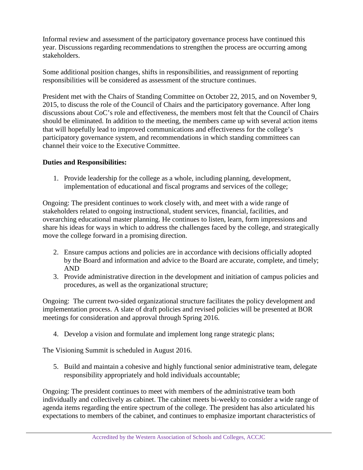Informal review and assessment of the participatory governance process have continued this year. Discussions regarding recommendations to strengthen the process are occurring among stakeholders.

Some additional position changes, shifts in responsibilities, and reassignment of reporting responsibilities will be considered as assessment of the structure continues.

President met with the Chairs of Standing Committee on October 22, 2015, and on November 9, 2015, to discuss the role of the Council of Chairs and the participatory governance. After long discussions about CoC's role and effectiveness, the members most felt that the Council of Chairs should be eliminated. In addition to the meeting, the members came up with several action items that will hopefully lead to improved communications and effectiveness for the college's participatory governance system, and recommendations in which standing committees can channel their voice to the Executive Committee.

## **Duties and Responsibilities:**

1. Provide leadership for the college as a whole, including planning, development, implementation of educational and fiscal programs and services of the college;

Ongoing: The president continues to work closely with, and meet with a wide range of stakeholders related to ongoing instructional, student services, financial, facilities, and overarching educational master planning. He continues to listen, learn, form impressions and share his ideas for ways in which to address the challenges faced by the college, and strategically move the college forward in a promising direction.

- 2. Ensure campus actions and policies are in accordance with decisions officially adopted by the Board and information and advice to the Board are accurate, complete, and timely; AND
- 3. Provide administrative direction in the development and initiation of campus policies and procedures, as well as the organizational structure;

Ongoing: The current two-sided organizational structure facilitates the policy development and implementation process. A slate of draft policies and revised policies will be presented at BOR meetings for consideration and approval through Spring 2016.

4. Develop a vision and formulate and implement long range strategic plans;

The Visioning Summit is scheduled in August 2016.

5. Build and maintain a cohesive and highly functional senior administrative team, delegate responsibility appropriately and hold individuals accountable;

Ongoing: The president continues to meet with members of the administrative team both individually and collectively as cabinet. The cabinet meets bi-weekly to consider a wide range of agenda items regarding the entire spectrum of the college. The president has also articulated his expectations to members of the cabinet, and continues to emphasize important characteristics of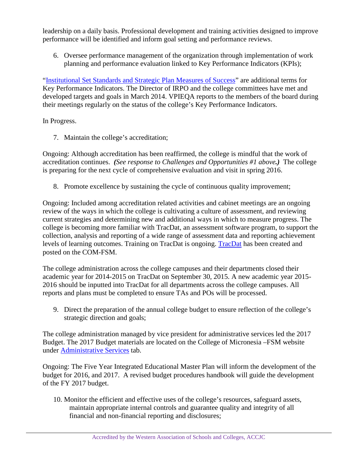leadership on a daily basis. Professional development and training activities designed to improve performance will be identified and inform goal setting and performance reviews.

6. Oversee performance management of the organization through implementation of work planning and performance evaluation linked to Key Performance Indicators (KPIs);

"Institutional Set [Standards and Strategic Plan Measures](http://www.comfsm.fm/irp/Planning/Institutional_Set_Standards_and_Strategic_Plan_Measures_of_Success/Institutional_Set_Standards_and_Strategic_Plan_Measures_of_Success_March2016.pdf) of Success" are additional terms for Key Performance Indicators. The Director of IRPO and the college committees have met and developed targets and goals in March 2014. VPIEQA reports to the members of the board during their meetings regularly on the status of the college's Key Performance Indicators.

In Progress.

7. Maintain the college's accreditation;

Ongoing: Although accreditation has been reaffirmed, the college is mindful that the work of accreditation continues. *(See response to Challenges and Opportunities #1 above.)* The college is preparing for the next cycle of comprehensive evaluation and visit in spring 2016.

8. Promote excellence by sustaining the cycle of continuous quality improvement;

Ongoing: Included among accreditation related activities and cabinet meetings are an ongoing review of the ways in which the college is cultivating a culture of assessment, and reviewing current strategies and determining new and additional ways in which to measure progress. The college is becoming more familiar with TracDat, an assessment software program, to support the collection, analysis and reporting of a wide range of assessment data and reporting achievement levels of learning outcomes. Training on TracDat is ongoing. [TracDat](https://comfsm.tracdat.com/tracdat/faces/login.jsp) has been created and posted on the COM-FSM.

The college administration across the college campuses and their departments closed their academic year for 2014-2015 on TracDat on September 30, 2015. A new academic year 2015- 2016 should be inputted into TracDat for all departments across the college campuses. All reports and plans must be completed to ensure TAs and POs will be processed.

9. Direct the preparation of the annual college budget to ensure reflection of the college's strategic direction and goals;

The college administration managed by vice president for administrative services led the 2017 Budget. The 2017 Budget materials are located on the College of Micronesia –FSM website under [Administrative Services](http://www.comfsm.fm/?q=2016-Budget) tab.

Ongoing: The Five Year Integrated Educational Master Plan will inform the development of the budget for 2016, and 2017. A revised budget procedures handbook will guide the development of the FY 2017 budget.

10. Monitor the efficient and effective uses of the college's resources, safeguard assets, maintain appropriate internal controls and guarantee quality and integrity of all financial and non-financial reporting and disclosures;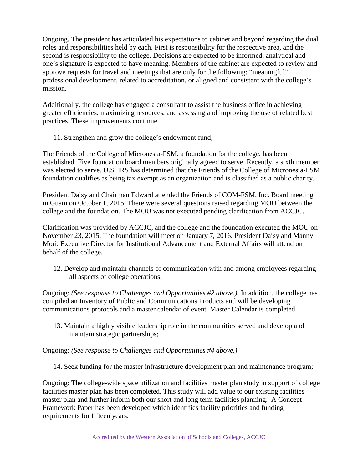Ongoing. The president has articulated his expectations to cabinet and beyond regarding the dual roles and responsibilities held by each. First is responsibility for the respective area, and the second is responsibility to the college. Decisions are expected to be informed, analytical and one's signature is expected to have meaning. Members of the cabinet are expected to review and approve requests for travel and meetings that are only for the following: "meaningful" professional development, related to accreditation, or aligned and consistent with the college's mission.

Additionally, the college has engaged a consultant to assist the business office in achieving greater efficiencies, maximizing resources, and assessing and improving the use of related best practices. These improvements continue.

11. Strengthen and grow the college's endowment fund;

The Friends of the College of Micronesia-FSM, a foundation for the college, has been established. Five foundation board members originally agreed to serve. Recently, a sixth member was elected to serve. U.S. IRS has determined that the Friends of the College of Micronesia-FSM foundation qualifies as being tax exempt as an organization and is classified as a public charity.

President Daisy and Chairman Edward attended the Friends of COM-FSM, Inc. Board meeting in Guam on October 1, 2015. There were several questions raised regarding MOU between the college and the foundation. The MOU was not executed pending clarification from ACCJC.

Clarification was provided by ACCJC, and the college and the foundation executed the MOU on November 23, 2015. The foundation will meet on January 7, 2016. President Daisy and Manny Mori, Executive Director for Institutional Advancement and External Affairs will attend on behalf of the college.

12. Develop and maintain channels of communication with and among employees regarding all aspects of college operations;

Ongoing: *(See response to Challenges and Opportunities #2 above.)* In addition, the college has compiled an Inventory of Public and Communications Products and will be developing communications protocols and a master calendar of event. Master Calendar is completed.

13. Maintain a highly visible leadership role in the communities served and develop and maintain strategic partnerships;

Ongoing: *(See response to Challenges and Opportunities #4 above.)*

14. Seek funding for the master infrastructure development plan and maintenance program;

Ongoing: The college-wide space utilization and facilities master plan study in support of college facilities master plan has been completed. This study will add value to our existing facilities master plan and further inform both our short and long term facilities planning. A Concept Framework Paper has been developed which identifies facility priorities and funding requirements for fifteen years.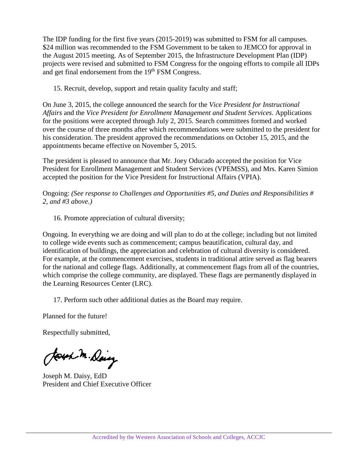The IDP funding for the first five years (2015-2019) was submitted to FSM for all campuses. \$24 million was recommended to the FSM Government to be taken to JEMCO for approval in the August 2015 meeting. As of September 2015, the Infrastructure Development Plan (IDP) projects were revised and submitted to FSM Congress for the ongoing efforts to compile all IDPs and get final endorsement from the 19<sup>th</sup> FSM Congress.

15. Recruit, develop, support and retain quality faculty and staff;

On June 3, 2015, the college announced the search for the *Vice President for Instructional Affairs* and the *Vice President for Enrollment Management and Student Services*. Applications for the positions were accepted through July 2, 2015. Search committees formed and worked over the course of three months after which recommendations were submitted to the president for his consideration. The president approved the recommendations on October 15, 2015, and the appointments became effective on November 5, 2015.

The president is pleased to announce that Mr. Joey Oducado accepted the position for Vice President for Enrollment Management and Student Services (VPEMSS), and Mrs. Karen Simion accepted the position for the Vice President for Instructional Affairs (VPIA).

Ongoing: *(See response to Challenges and Opportunities #5, and Duties and Responsibilities # 2, and #3 above.)*

16. Promote appreciation of cultural diversity;

Ongoing. In everything we are doing and will plan to do at the college; including but not limited to college wide events such as commencement; campus beautification, cultural day, and identification of buildings, the appreciation and celebration of cultural diversity is considered. For example, at the commencement exercises, students in traditional attire served as flag bearers for the national and college flags. Additionally, at commencement flags from all of the countries, which comprise the college community, are displayed. These flags are permanently displayed in the Learning Resources Center (LRC).

17. Perform such other additional duties as the Board may require.

Planned for the future!

Respectfully submitted,

Joseph M. Daisy

Joseph M. Daisy, EdD President and Chief Executive Officer